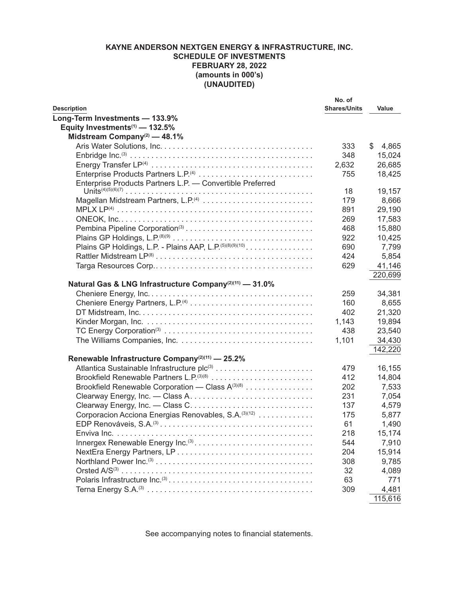|                                                                                                           | No. of              |             |
|-----------------------------------------------------------------------------------------------------------|---------------------|-------------|
| <b>Description</b>                                                                                        | <b>Shares/Units</b> | Value       |
| Long-Term Investments - 133.9%                                                                            |                     |             |
| Equity Investments <sup>(1)</sup> - 132.5%                                                                |                     |             |
| Midstream Company <sup>(2)</sup> — 48.1%                                                                  |                     |             |
|                                                                                                           | 333                 | \$<br>4,865 |
|                                                                                                           | 348                 | 15,024      |
|                                                                                                           | 2,632               | 26,685      |
| Enterprise Products Partners L.P. <sup>(4)</sup>                                                          | 755                 | 18,425      |
| Enterprise Products Partners L.P. - Convertible Preferred                                                 |                     |             |
|                                                                                                           | 18                  | 19,157      |
|                                                                                                           | 179                 | 8,666       |
|                                                                                                           | 891                 | 29,190      |
|                                                                                                           | 269                 | 17,583      |
|                                                                                                           | 468                 | 15,880      |
|                                                                                                           | 922                 | 10,425      |
| Plains GP Holdings, L.P. - Plains AAP, L.P. (5)(8)(9)(10)                                                 | 690                 | 7,799       |
|                                                                                                           | 424                 | 5,854       |
|                                                                                                           | 629                 | 41,146      |
|                                                                                                           |                     | 220,699     |
| Natural Gas & LNG Infrastructure Company <sup>(2)(11)</sup> - 31.0%                                       |                     |             |
|                                                                                                           | 259                 | 34,381      |
|                                                                                                           | 160                 | 8,655       |
|                                                                                                           | 402                 | 21,320      |
|                                                                                                           | 1,143               | 19,894      |
|                                                                                                           | 438                 | 23,540      |
|                                                                                                           | 1,101               | 34,430      |
|                                                                                                           |                     | 142,220     |
| Renewable Infrastructure Company <sup>(2)(11)</sup> - 25.2%                                               |                     |             |
|                                                                                                           | 479                 | 16,155      |
|                                                                                                           | 412                 | 14,804      |
| Brookfield Renewable Corporation - Class A(3)(8)                                                          | 202                 | 7,533       |
|                                                                                                           | 231                 | 7,054       |
|                                                                                                           | 137                 | 4,579       |
| Corporacion Acciona Energias Renovables, S.A. (3)(12)                                                     | 175                 | 5,877       |
|                                                                                                           | 61                  | 1,490       |
|                                                                                                           | 218                 | 15,174      |
| Innergex Renewable Energy Inc. <sup>(3)</sup>                                                             | 544                 | 7,910       |
|                                                                                                           | 204                 | 15,914      |
|                                                                                                           | 308                 |             |
| Northland Power $Inc^{(3)} \dots \dots \dots \dots \dots \dots \dots \dots \dots \dots \dots \dots \dots$ |                     | 9,785       |
|                                                                                                           | 32                  | 4,089       |
|                                                                                                           | 63                  | 771         |
|                                                                                                           | 309                 | 4,481       |
|                                                                                                           |                     | 115,616     |

See accompanying notes to financial statements.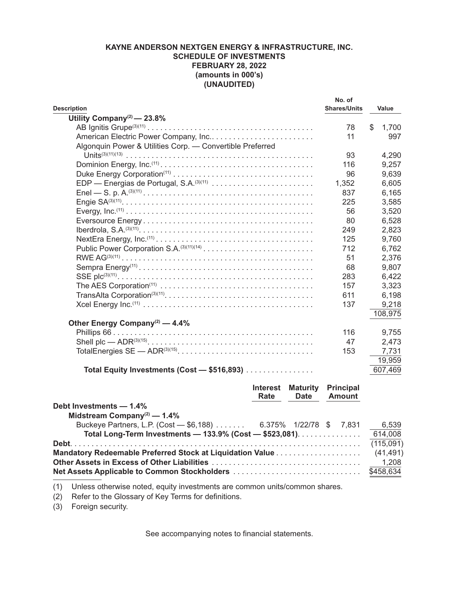| <b>Description</b>                                        | No. of<br><b>Shares/Units</b> | Value       |
|-----------------------------------------------------------|-------------------------------|-------------|
| Utility Company <sup>(2)</sup> - 23.8%                    |                               |             |
|                                                           | 78                            | \$<br>1,700 |
| American Electric Power Company, Inc                      | 11                            | 997         |
| Algonquin Power & Utilities Corp. - Convertible Preferred |                               |             |
|                                                           | 93                            | 4,290       |
|                                                           | 116                           | 9,257       |
|                                                           | 96                            | 9,639       |
| EDP — Energias de Portugal, S.A. <sup>(3)(11)</sup>       | 1,352                         | 6,605       |
|                                                           | 837                           | 6,165       |
|                                                           | 225                           | 3,585       |
|                                                           | 56                            | 3,520       |
|                                                           | 80                            | 6,528       |
|                                                           | 249                           | 2,823       |
|                                                           | 125                           | 9,760       |
|                                                           | 712                           | 6,762       |
|                                                           | 51                            | 2,376       |
|                                                           | 68                            | 9,807       |
|                                                           | 283                           | 6,422       |
|                                                           | 157                           | 3,323       |
|                                                           | 611                           | 6,198       |
|                                                           | 137                           | 9,218       |
|                                                           |                               | 108,975     |
| Other Energy Company <sup>(2)</sup> — 4.4%                |                               |             |
|                                                           | 116                           | 9,755       |
|                                                           | 47                            | 2,473       |
| TotalEnergies SE - ADR <sup>(3)(15)</sup>                 | 153                           | 7,731       |
|                                                           |                               | 19,959      |
| Total Equity Investments (Cost - \$516,893)               |                               | 607,469     |
| <b>Interest</b><br><b>Maturity</b><br>Rate<br><b>Date</b> | <b>Principal</b><br>Amount    |             |

|                                                                | nale | Dalc | <b>AIIVUIIL</b> |           |
|----------------------------------------------------------------|------|------|-----------------|-----------|
| Debt Investments - 1.4%                                        |      |      |                 |           |
| Midstream Company <sup>(2)</sup> — $1.4\%$                     |      |      |                 |           |
| Buckeye Partners, L.P. (Cost - \$6,188) 6.375% 1/22/78 \$7,831 |      |      |                 | 6,539     |
| Total Long-Term Investments - 133.9% (Cost - \$523,081).       |      |      |                 | 614,008   |
|                                                                |      |      |                 | (115,091) |
|                                                                |      |      |                 |           |
|                                                                |      |      |                 |           |
|                                                                |      |      |                 |           |
|                                                                |      |      |                 |           |

(1) Unless otherwise noted, equity investments are common units/common shares.

(2) Refer to the Glossary of Key Terms for definitions.

(3) Foreign security.

See accompanying notes to financial statements.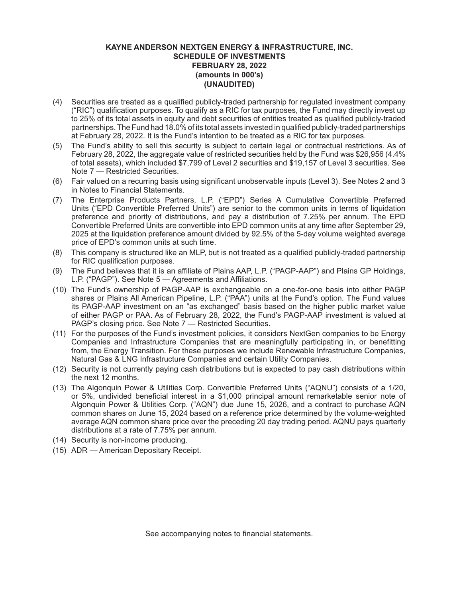- (4) Securities are treated as a qualified publicly-traded partnership for regulated investment company ("RIC") qualification purposes. To qualify as a RIC for tax purposes, the Fund may directly invest up to 25% of its total assets in equity and debt securities of entities treated as qualified publicly-traded partnerships. The Fund had 18.0% of its total assets invested in qualified publicly-traded partnerships at February 28, 2022. It is the Fund's intention to be treated as a RIC for tax purposes.
- (5) The Fund's ability to sell this security is subject to certain legal or contractual restrictions. As of February 28, 2022, the aggregate value of restricted securities held by the Fund was \$26,956 (4.4% of total assets), which included \$7,799 of Level 2 securities and \$19,157 of Level 3 securities. See Note 7 — Restricted Securities.
- (6) Fair valued on a recurring basis using significant unobservable inputs (Level 3). See Notes 2 and 3 in Notes to Financial Statements.
- (7) The Enterprise Products Partners, L.P. ("EPD") Series A Cumulative Convertible Preferred Units ("EPD Convertible Preferred Units") are senior to the common units in terms of liquidation preference and priority of distributions, and pay a distribution of 7.25% per annum. The EPD Convertible Preferred Units are convertible into EPD common units at any time after September 29, 2025 at the liquidation preference amount divided by 92.5% of the 5-day volume weighted average price of EPD's common units at such time.
- (8) This company is structured like an MLP, but is not treated as a qualified publicly-traded partnership for RIC qualification purposes.
- (9) The Fund believes that it is an affiliate of Plains AAP, L.P. ("PAGP-AAP") and Plains GP Holdings, L.P. ("PAGP"). See Note 5 — Agreements and Affiliations.
- (10) The Fund's ownership of PAGP-AAP is exchangeable on a one-for-one basis into either PAGP shares or Plains All American Pipeline, L.P. ("PAA") units at the Fund's option. The Fund values its PAGP-AAP investment on an "as exchanged" basis based on the higher public market value of either PAGP or PAA. As of February 28, 2022, the Fund's PAGP-AAP investment is valued at PAGP's closing price. See Note 7 — Restricted Securities.
- (11) For the purposes of the Fund's investment policies, it considers NextGen companies to be Energy Companies and Infrastructure Companies that are meaningfully participating in, or benefitting from, the Energy Transition. For these purposes we include Renewable Infrastructure Companies, Natural Gas & LNG Infrastructure Companies and certain Utility Companies.
- (12) Security is not currently paying cash distributions but is expected to pay cash distributions within the next 12 months.
- (13) The Algonquin Power & Utilities Corp. Convertible Preferred Units ("AQNU") consists of a 1/20, or 5%, undivided beneficial interest in a \$1,000 principal amount remarketable senior note of Algonquin Power & Utilities Corp. ("AQN") due June 15, 2026, and a contract to purchase AQN common shares on June 15, 2024 based on a reference price determined by the volume-weighted average AQN common share price over the preceding 20 day trading period. AQNU pays quarterly distributions at a rate of 7.75% per annum.
- (14) Security is non-income producing.
- (15) ADR American Depositary Receipt.